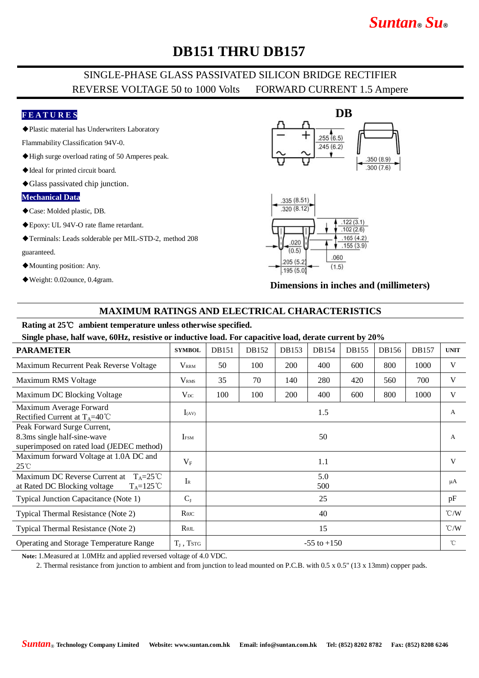# *Suntan***®** *Su***®**

# **DB151 THRU DB157**

## SINGLE-PHASE GLASS PASSIVATED SILICON BRIDGE RECTIFIER REVERSE VOLTAGE 50 to 1000 Volts FORWARD CURRENT 1.5 Ampere

### **F E A T U R E S**

◆Plastic material has Underwriters Laboratory

Flammability Classification 94V-0.

- ◆High surge overload rating of 50 Amperes peak.
- ◆Ideal for printed circuit board.
- ◆Glass passivated chip junction.

#### **Mechanical Data**

- ◆Case: Molded plastic, DB.
- ◆Epoxy: UL 94V-O rate flame retardant.
- ◆Terminals: Leads solderable per MIL-STD-2, method 208
- guaranteed.
- ◆Mounting position: Any.
- ◆Weight: 0.02ounce, 0.4gram.





**Dimensions in inches and (millimeters)**

### **MAXIMUM RATINGS AND ELECTRICAL CHARACTERISTICS**

#### **Rating at 25**℃ **ambient temperature unless otherwise specified.**

**Single phase, half wave, 60Hz, resistive or inductive load. For capacitive load, derate current by 20%**

| <b>PARAMETER</b>                                                                                             | <b>SYMBOL</b>    | <b>DB151</b>    | DB152 | DB153      | DB154 | DB155 | DB156 | DB157 | <b>UNIT</b>        |
|--------------------------------------------------------------------------------------------------------------|------------------|-----------------|-------|------------|-------|-------|-------|-------|--------------------|
| Maximum Recurrent Peak Reverse Voltage                                                                       | $V_{\rm RRM}$    | 50              | 100   | <b>200</b> | 400   | 600   | 800   | 1000  | V                  |
| Maximum RMS Voltage                                                                                          | V <sub>RMS</sub> | 35              | 70    | 140        | 280   | 420   | 560   | 700   | V                  |
| Maximum DC Blocking Voltage                                                                                  | $V_{DC}$         | 100             | 100   | 200        | 400   | 600   | 800   | 1000  | V                  |
| Maximum Average Forward<br>Rectified Current at $T_A=40^{\circ}C$                                            | $I_{(AV)}$       | 1.5             |       |            |       |       |       |       | $\mathsf{A}$       |
| Peak Forward Surge Current,<br>8.3ms single half-sine-wave<br>superimposed on rated load (JEDEC method)      | <b>IFSM</b>      | 50              |       |            |       |       |       |       | A                  |
| Maximum forward Voltage at 1.0A DC and<br>$25^{\circ}$ C                                                     | $V_{\rm F}$      | 1.1             |       |            |       |       |       |       | V                  |
| Maximum DC Reverse Current at<br>$T_A = 25^{\circ}C$<br>at Rated DC Blocking voltage<br>$T_A = 125^{\circ}C$ | $I_{R}$          | 5.0<br>500      |       |            |       |       |       |       | μA                 |
| Typical Junction Capacitance (Note 1)                                                                        | $C_{J}$          | 25              |       |            |       |       |       |       | pF                 |
| Typical Thermal Resistance (Note 2)                                                                          | $R\theta$ JC     | 40              |       |            |       |       |       |       | $\rm ^{\circ}$ C/W |
| Typical Thermal Resistance (Note 2)                                                                          | $R_{\theta$ jl   | 15              |       |            |       |       |       |       | $\rm ^{\circ}$ C/W |
| <b>Operating and Storage Temperature Range</b>                                                               | $T_J$ , TstG     | $-55$ to $+150$ |       |            |       |       |       |       | $^{\circ}$ C       |

**Note:** 1.Measured at 1.0MHz and applied reversed voltage of 4.0 VDC.

2. Thermal resistance from junction to ambient and from junction to lead mounted on P.C.B. with 0.5 x 0.5" (13 x 13mm) copper pads.